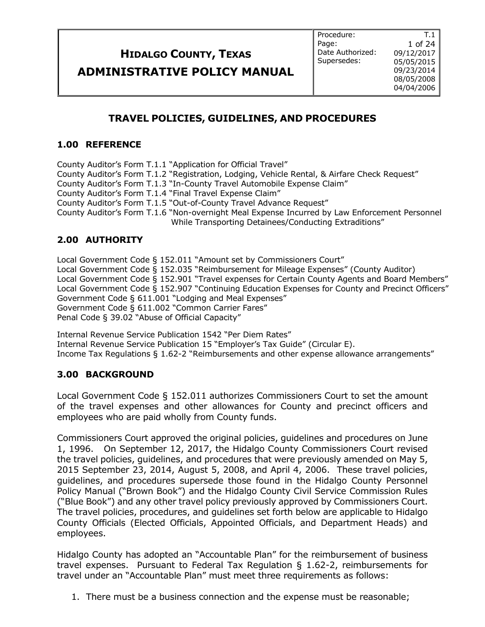**ADMINISTRATIVE POLICY MANUAL**

### **TRAVEL POLICIES, GUIDELINES, AND PROCEDURES**

#### **1.00 REFERENCE**

County Auditor's Form T.1.1 "Application for Official Travel" County Auditor's Form T.1.2 "Registration, Lodging, Vehicle Rental, & Airfare Check Request" County Auditor's Form T.1.3 "In-County Travel Automobile Expense Claim" County Auditor's Form T.1.4 "Final Travel Expense Claim" County Auditor's Form T.1.5 "Out-of-County Travel Advance Request" County Auditor's Form T.1.6 "Non-overnight Meal Expense Incurred by Law Enforcement Personnel While Transporting Detainees/Conducting Extraditions"

### **2.00 AUTHORITY**

Local Government Code § 152.011 "Amount set by Commissioners Court" Local Government Code § 152.035 "Reimbursement for Mileage Expenses" (County Auditor) Local Government Code § 152.901 "Travel expenses for Certain County Agents and Board Members" Local Government Code § 152.907 "Continuing Education Expenses for County and Precinct Officers" Government Code § 611.001 "Lodging and Meal Expenses" Government Code § 611.002 "Common Carrier Fares" Penal Code § 39.02 "Abuse of Official Capacity"

Internal Revenue Service Publication 1542 "Per Diem Rates"

Internal Revenue Service Publication 15 "Employer's Tax Guide" (Circular E).

Income Tax Regulations § 1.62-2 "Reimbursements and other expense allowance arrangements"

### **3.00 BACKGROUND**

Local Government Code § 152.011 authorizes Commissioners Court to set the amount of the travel expenses and other allowances for County and precinct officers and employees who are paid wholly from County funds.

Commissioners Court approved the original policies, guidelines and procedures on June 1, 1996. On September 12, 2017, the Hidalgo County Commissioners Court revised the travel policies, guidelines, and procedures that were previously amended on May 5, 2015 September 23, 2014, August 5, 2008, and April 4, 2006. These travel policies, guidelines, and procedures supersede those found in the Hidalgo County Personnel Policy Manual ("Brown Book") and the Hidalgo County Civil Service Commission Rules ("Blue Book") and any other travel policy previously approved by Commissioners Court. The travel policies, procedures, and guidelines set forth below are applicable to Hidalgo County Officials (Elected Officials, Appointed Officials, and Department Heads) and employees.

Hidalgo County has adopted an "Accountable Plan" for the reimbursement of business travel expenses. Pursuant to Federal Tax Regulation § 1.62-2, reimbursements for travel under an "Accountable Plan" must meet three requirements as follows:

1. There must be a business connection and the expense must be reasonable;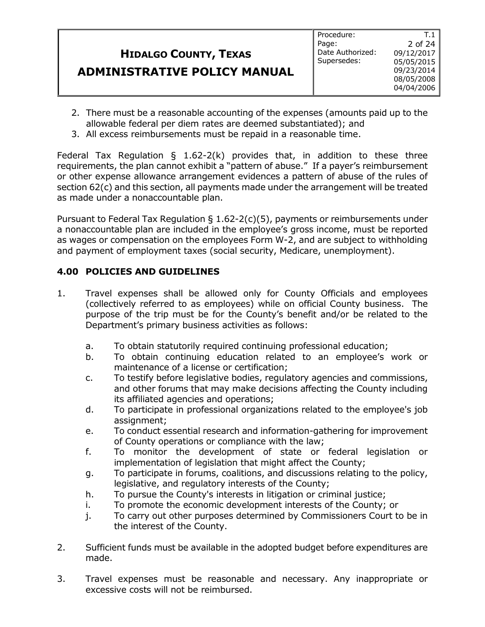#### **HIDALGO COUNTY, TEXAS ADMINISTRATIVE POLICY MANUAL** Procedure: Page: Date Authorized: Supersedes: 2 of 24 09/12/2017 05/05/2015 09/23/2014 08/05/2008 04/04/2006

2. There must be a reasonable accounting of the expenses (amounts paid up to the allowable federal per diem rates are deemed substantiated); and

T.1

3. All excess reimbursements must be repaid in a reasonable time.

Federal Tax Regulation  $\S$  1.62-2(k) provides that, in addition to these three requirements, the plan cannot exhibit a "pattern of abuse." If a payer's reimbursement or other expense allowance arrangement evidences a pattern of abuse of the rules of section 62(c) and this section, all payments made under the arrangement will be treated as made under a nonaccountable plan.

Pursuant to Federal Tax Regulation  $\Sigma$  1.62-2(c)(5), payments or reimbursements under a nonaccountable plan are included in the employee's gross income, must be reported as wages or compensation on the employees Form W-2, and are subject to withholding and payment of employment taxes (social security, Medicare, unemployment).

### **4.00 POLICIES AND GUIDELINES**

- 1. Travel expenses shall be allowed only for County Officials and employees (collectively referred to as employees) while on official County business. The purpose of the trip must be for the County's benefit and/or be related to the Department's primary business activities as follows:
	- a. To obtain statutorily required continuing professional education;
	- b. To obtain continuing education related to an employee's work or maintenance of a license or certification;
	- c. To testify before legislative bodies, regulatory agencies and commissions, and other forums that may make decisions affecting the County including its affiliated agencies and operations;
	- d. To participate in professional organizations related to the employee's job assignment;
	- e. To conduct essential research and information-gathering for improvement of County operations or compliance with the law;
	- f. To monitor the development of state or federal legislation or implementation of legislation that might affect the County;
	- g. To participate in forums, coalitions, and discussions relating to the policy, legislative, and regulatory interests of the County;
	- h. To pursue the County's interests in litigation or criminal justice;
	- i. To promote the economic development interests of the County; or
	- j. To carry out other purposes determined by Commissioners Court to be in the interest of the County.
- 2. Sufficient funds must be available in the adopted budget before expenditures are made.
- 3. Travel expenses must be reasonable and necessary. Any inappropriate or excessive costs will not be reimbursed.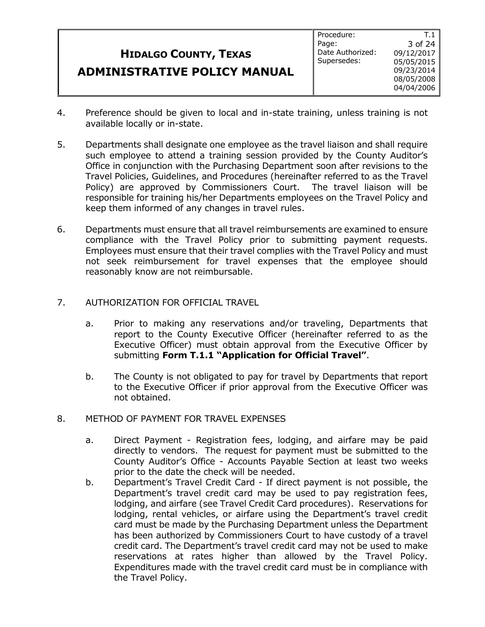#### **HIDALGO COUNTY, TEXAS ADMINISTRATIVE POLICY MANUAL** Procedure: Page: Date Authorized: Supersedes: 3 of 24 09/12/2017 05/05/2015 09/23/2014 08/05/2008 04/04/2006

T.1

- 4. Preference should be given to local and in-state training, unless training is not available locally or in-state.
- 5. Departments shall designate one employee as the travel liaison and shall require such employee to attend a training session provided by the County Auditor's Office in conjunction with the Purchasing Department soon after revisions to the Travel Policies, Guidelines, and Procedures (hereinafter referred to as the Travel Policy) are approved by Commissioners Court. The travel liaison will be responsible for training his/her Departments employees on the Travel Policy and keep them informed of any changes in travel rules.
- 6. Departments must ensure that all travel reimbursements are examined to ensure compliance with the Travel Policy prior to submitting payment requests. Employees must ensure that their travel complies with the Travel Policy and must not seek reimbursement for travel expenses that the employee should reasonably know are not reimbursable.
- 7. AUTHORIZATION FOR OFFICIAL TRAVEL
	- a. Prior to making any reservations and/or traveling, Departments that report to the County Executive Officer (hereinafter referred to as the Executive Officer) must obtain approval from the Executive Officer by submitting **Form T.1.1 "Application for Official Travel"**.
	- b. The County is not obligated to pay for travel by Departments that report to the Executive Officer if prior approval from the Executive Officer was not obtained.
- 8. METHOD OF PAYMENT FOR TRAVEL EXPENSES
	- a. Direct Payment Registration fees, lodging, and airfare may be paid directly to vendors. The request for payment must be submitted to the County Auditor's Office - Accounts Payable Section at least two weeks prior to the date the check will be needed.
	- b. Department's Travel Credit Card If direct payment is not possible, the Department's travel credit card may be used to pay registration fees, lodging, and airfare (see Travel Credit Card procedures). Reservations for lodging, rental vehicles, or airfare using the Department's travel credit card must be made by the Purchasing Department unless the Department has been authorized by Commissioners Court to have custody of a travel credit card. The Department's travel credit card may not be used to make reservations at rates higher than allowed by the Travel Policy. Expenditures made with the travel credit card must be in compliance with the Travel Policy.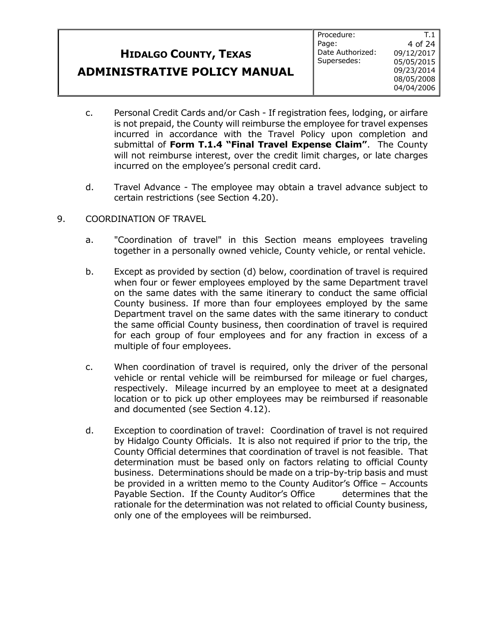### **ADMINISTRATIVE POLICY MANUAL**

T.1

- c. Personal Credit Cards and/or Cash If registration fees, lodging, or airfare is not prepaid, the County will reimburse the employee for travel expenses incurred in accordance with the Travel Policy upon completion and submittal of **Form T.1.4 "Final Travel Expense Claim"**. The County will not reimburse interest, over the credit limit charges, or late charges incurred on the employee's personal credit card.
- d. Travel Advance The employee may obtain a travel advance subject to certain restrictions (see Section 4.20).
- 9. COORDINATION OF TRAVEL
	- a. "Coordination of travel" in this Section means employees traveling together in a personally owned vehicle, County vehicle, or rental vehicle.
	- b. Except as provided by section (d) below, coordination of travel is required when four or fewer employees employed by the same Department travel on the same dates with the same itinerary to conduct the same official County business. If more than four employees employed by the same Department travel on the same dates with the same itinerary to conduct the same official County business, then coordination of travel is required for each group of four employees and for any fraction in excess of a multiple of four employees.
	- c. When coordination of travel is required, only the driver of the personal vehicle or rental vehicle will be reimbursed for mileage or fuel charges, respectively. Mileage incurred by an employee to meet at a designated location or to pick up other employees may be reimbursed if reasonable and documented (see Section 4.12).
	- d. Exception to coordination of travel: Coordination of travel is not required by Hidalgo County Officials. It is also not required if prior to the trip, the County Official determines that coordination of travel is not feasible. That determination must be based only on factors relating to official County business. Determinations should be made on a trip-by-trip basis and must be provided in a written memo to the County Auditor's Office – Accounts Payable Section. If the County Auditor's Office determines that the rationale for the determination was not related to official County business, only one of the employees will be reimbursed.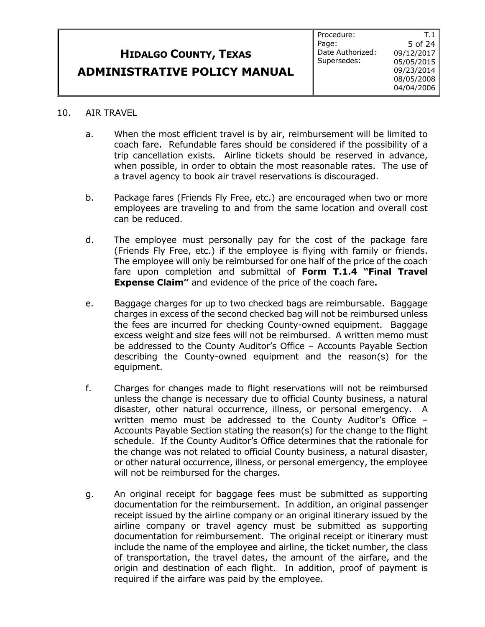#### 10. AIR TRAVEL

- a. When the most efficient travel is by air, reimbursement will be limited to coach fare. Refundable fares should be considered if the possibility of a trip cancellation exists. Airline tickets should be reserved in advance, when possible, in order to obtain the most reasonable rates. The use of a travel agency to book air travel reservations is discouraged.
- b. Package fares (Friends Fly Free, etc.) are encouraged when two or more employees are traveling to and from the same location and overall cost can be reduced.
- d. The employee must personally pay for the cost of the package fare (Friends Fly Free, etc.) if the employee is flying with family or friends. The employee will only be reimbursed for one half of the price of the coach fare upon completion and submittal of **Form T.1.4 "Final Travel Expense Claim"** and evidence of the price of the coach fare**.**
- e. Baggage charges for up to two checked bags are reimbursable. Baggage charges in excess of the second checked bag will not be reimbursed unless the fees are incurred for checking County-owned equipment. Baggage excess weight and size fees will not be reimbursed. A written memo must be addressed to the County Auditor's Office – Accounts Payable Section describing the County-owned equipment and the reason(s) for the equipment.
- f. Charges for changes made to flight reservations will not be reimbursed unless the change is necessary due to official County business, a natural disaster, other natural occurrence, illness, or personal emergency. A written memo must be addressed to the County Auditor's Office – Accounts Payable Section stating the reason(s) for the change to the flight schedule. If the County Auditor's Office determines that the rationale for the change was not related to official County business, a natural disaster, or other natural occurrence, illness, or personal emergency, the employee will not be reimbursed for the charges.
- g. An original receipt for baggage fees must be submitted as supporting documentation for the reimbursement. In addition, an original passenger receipt issued by the airline company or an original itinerary issued by the airline company or travel agency must be submitted as supporting documentation for reimbursement. The original receipt or itinerary must include the name of the employee and airline, the ticket number, the class of transportation, the travel dates, the amount of the airfare, and the origin and destination of each flight. In addition, proof of payment is required if the airfare was paid by the employee.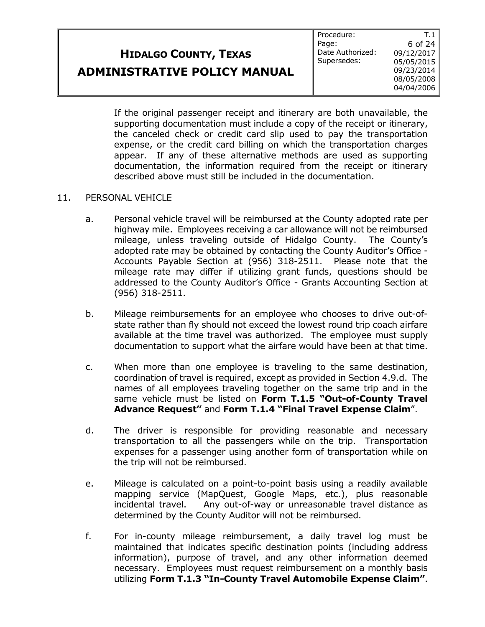Procedure: Page: Date Authorized: Supersedes:

T.1 6 of 24 09/12/2017 05/05/2015 09/23/2014 08/05/2008 04/04/2006

If the original passenger receipt and itinerary are both unavailable, the supporting documentation must include a copy of the receipt or itinerary, the canceled check or credit card slip used to pay the transportation expense, or the credit card billing on which the transportation charges appear. If any of these alternative methods are used as supporting documentation, the information required from the receipt or itinerary described above must still be included in the documentation.

#### 11. PERSONAL VEHICLE

- a. Personal vehicle travel will be reimbursed at the County adopted rate per highway mile. Employees receiving a car allowance will not be reimbursed mileage, unless traveling outside of Hidalgo County. The County's adopted rate may be obtained by contacting the County Auditor's Office - Accounts Payable Section at (956) 318-2511. Please note that the mileage rate may differ if utilizing grant funds, questions should be addressed to the County Auditor's Office - Grants Accounting Section at (956) 318-2511.
- b. Mileage reimbursements for an employee who chooses to drive out-ofstate rather than fly should not exceed the lowest round trip coach airfare available at the time travel was authorized. The employee must supply documentation to support what the airfare would have been at that time.
- c. When more than one employee is traveling to the same destination, coordination of travel is required, except as provided in Section 4.9.d. The names of all employees traveling together on the same trip and in the same vehicle must be listed on **Form T.1.5 "Out-of-County Travel Advance Request"** and **Form T.1.4 "Final Travel Expense Claim**".
- d. The driver is responsible for providing reasonable and necessary transportation to all the passengers while on the trip. Transportation expenses for a passenger using another form of transportation while on the trip will not be reimbursed.
- e. Mileage is calculated on a point-to-point basis using a readily available mapping service (MapQuest, Google Maps, etc.), plus reasonable incidental travel. Any out-of-way or unreasonable travel distance as determined by the County Auditor will not be reimbursed.
- f. For in-county mileage reimbursement, a daily travel log must be maintained that indicates specific destination points (including address information), purpose of travel, and any other information deemed necessary. Employees must request reimbursement on a monthly basis utilizing **Form T.1.3 "In-County Travel Automobile Expense Claim"**.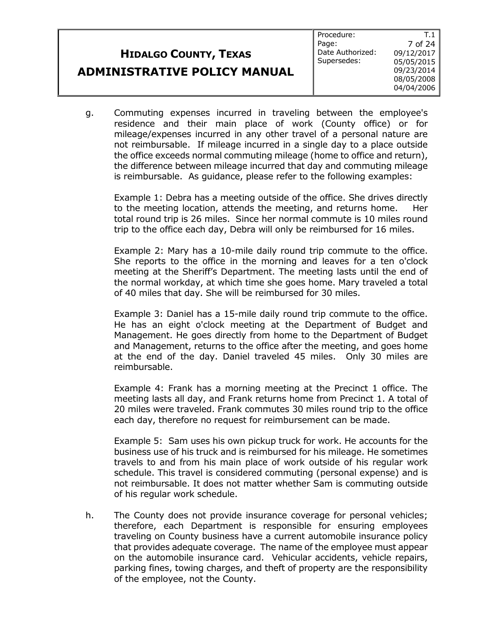g. Commuting expenses incurred in traveling between the employee's residence and their main place of work (County office) or for mileage/expenses incurred in any other travel of a personal nature are not reimbursable. If mileage incurred in a single day to a place outside the office exceeds normal commuting mileage (home to office and return), the difference between mileage incurred that day and commuting mileage is reimbursable. As guidance, please refer to the following examples:

Example 1: Debra has a meeting outside of the office. She drives directly to the meeting location, attends the meeting, and returns home. Her total round trip is 26 miles. Since her normal commute is 10 miles round trip to the office each day, Debra will only be reimbursed for 16 miles.

Example 2: Mary has a 10-mile daily round trip commute to the office. She reports to the office in the morning and leaves for a ten o'clock meeting at the Sheriff's Department. The meeting lasts until the end of the normal workday, at which time she goes home. Mary traveled a total of 40 miles that day. She will be reimbursed for 30 miles.

Example 3: Daniel has a 15-mile daily round trip commute to the office. He has an eight o'clock meeting at the Department of Budget and Management. He goes directly from home to the Department of Budget and Management, returns to the office after the meeting, and goes home at the end of the day. Daniel traveled 45 miles. Only 30 miles are reimbursable.

Example 4: Frank has a morning meeting at the Precinct 1 office. The meeting lasts all day, and Frank returns home from Precinct 1. A total of 20 miles were traveled. Frank commutes 30 miles round trip to the office each day, therefore no request for reimbursement can be made.

Example 5: Sam uses his own pickup truck for work. He accounts for the business use of his truck and is reimbursed for his mileage. He sometimes travels to and from his main place of work outside of his regular work schedule. This travel is considered commuting (personal expense) and is not reimbursable. It does not matter whether Sam is commuting outside of his regular work schedule.

h. The County does not provide insurance coverage for personal vehicles; therefore, each Department is responsible for ensuring employees traveling on County business have a current automobile insurance policy that provides adequate coverage. The name of the employee must appear on the automobile insurance card. Vehicular accidents, vehicle repairs, parking fines, towing charges, and theft of property are the responsibility of the employee, not the County.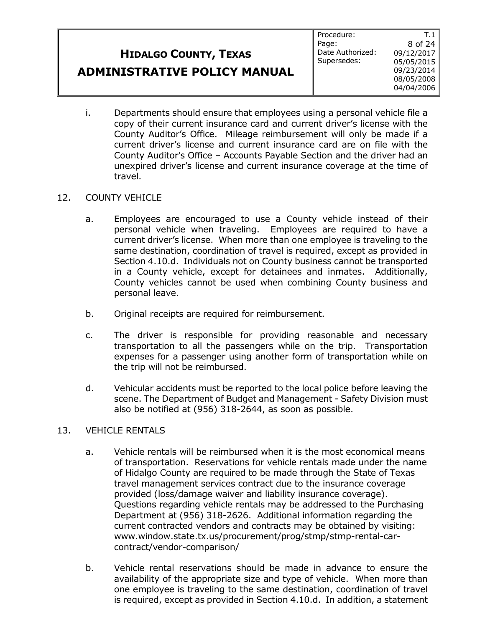T.1 8 of 24

i. Departments should ensure that employees using a personal vehicle file a copy of their current insurance card and current driver's license with the County Auditor's Office. Mileage reimbursement will only be made if a current driver's license and current insurance card are on file with the County Auditor's Office – Accounts Payable Section and the driver had an unexpired driver's license and current insurance coverage at the time of travel.

### 12. COUNTY VEHICLE

- a. Employees are encouraged to use a County vehicle instead of their personal vehicle when traveling. Employees are required to have a current driver's license. When more than one employee is traveling to the same destination, coordination of travel is required, except as provided in Section 4.10.d. Individuals not on County business cannot be transported in a County vehicle, except for detainees and inmates. Additionally, County vehicles cannot be used when combining County business and personal leave.
- b. Original receipts are required for reimbursement.
- c. The driver is responsible for providing reasonable and necessary transportation to all the passengers while on the trip. Transportation expenses for a passenger using another form of transportation while on the trip will not be reimbursed.
- d. Vehicular accidents must be reported to the local police before leaving the scene. The Department of Budget and Management - Safety Division must also be notified at (956) 318-2644, as soon as possible.

#### 13. VEHICLE RENTALS

- a. Vehicle rentals will be reimbursed when it is the most economical means of transportation. Reservations for vehicle rentals made under the name of Hidalgo County are required to be made through the State of Texas travel management services contract due to the insurance coverage provided (loss/damage waiver and liability insurance coverage). Questions regarding vehicle rentals may be addressed to the Purchasing Department at (956) 318-2626. Additional information regarding the current contracted vendors and contracts may be obtained by visiting: www.window.state.tx.us/procurement/prog/stmp/stmp-rental-carcontract/vendor-comparison/
- b. Vehicle rental reservations should be made in advance to ensure the availability of the appropriate size and type of vehicle. When more than one employee is traveling to the same destination, coordination of travel is required, except as provided in Section 4.10.d. In addition, a statement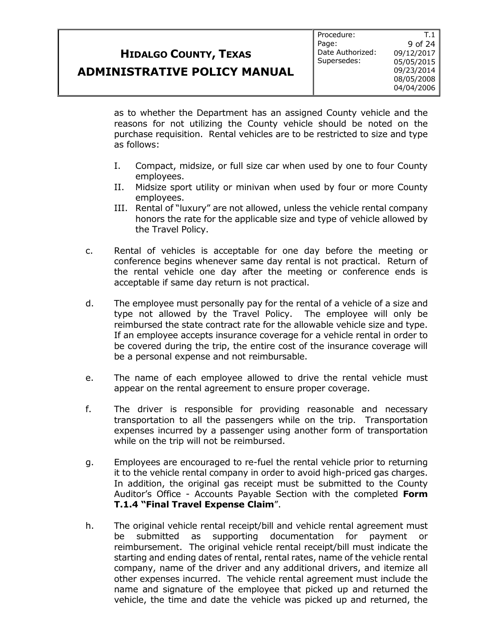T.1

as to whether the Department has an assigned County vehicle and the reasons for not utilizing the County vehicle should be noted on the purchase requisition. Rental vehicles are to be restricted to size and type as follows:

- I. Compact, midsize, or full size car when used by one to four County employees.
- II. Midsize sport utility or minivan when used by four or more County employees.
- III. Rental of "luxury" are not allowed, unless the vehicle rental company honors the rate for the applicable size and type of vehicle allowed by the Travel Policy.
- c. Rental of vehicles is acceptable for one day before the meeting or conference begins whenever same day rental is not practical. Return of the rental vehicle one day after the meeting or conference ends is acceptable if same day return is not practical.
- d. The employee must personally pay for the rental of a vehicle of a size and type not allowed by the Travel Policy. The employee will only be reimbursed the state contract rate for the allowable vehicle size and type. If an employee accepts insurance coverage for a vehicle rental in order to be covered during the trip, the entire cost of the insurance coverage will be a personal expense and not reimbursable.
- e. The name of each employee allowed to drive the rental vehicle must appear on the rental agreement to ensure proper coverage.
- f. The driver is responsible for providing reasonable and necessary transportation to all the passengers while on the trip. Transportation expenses incurred by a passenger using another form of transportation while on the trip will not be reimbursed.
- g. Employees are encouraged to re-fuel the rental vehicle prior to returning it to the vehicle rental company in order to avoid high-priced gas charges. In addition, the original gas receipt must be submitted to the County Auditor's Office - Accounts Payable Section with the completed **Form T.1.4 "Final Travel Expense Claim**".
- h. The original vehicle rental receipt/bill and vehicle rental agreement must be submitted as supporting documentation for payment or reimbursement. The original vehicle rental receipt/bill must indicate the starting and ending dates of rental, rental rates, name of the vehicle rental company, name of the driver and any additional drivers, and itemize all other expenses incurred. The vehicle rental agreement must include the name and signature of the employee that picked up and returned the vehicle, the time and date the vehicle was picked up and returned, the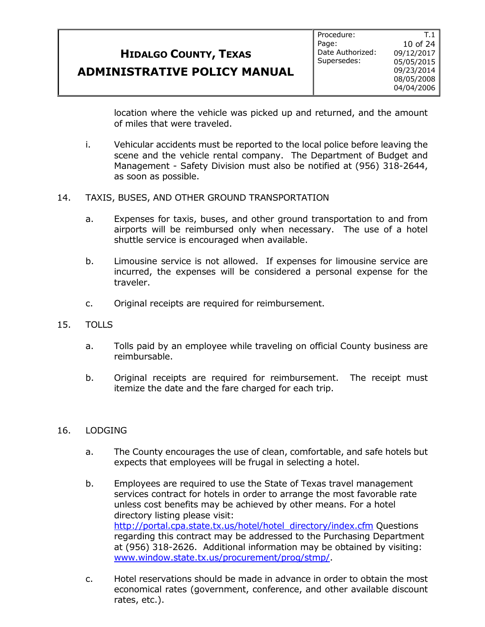**ADMINISTRATIVE POLICY MANUAL**

location where the vehicle was picked up and returned, and the amount of miles that were traveled.

- i. Vehicular accidents must be reported to the local police before leaving the scene and the vehicle rental company. The Department of Budget and Management - Safety Division must also be notified at (956) 318-2644, as soon as possible.
- 14. TAXIS, BUSES, AND OTHER GROUND TRANSPORTATION
	- a. Expenses for taxis, buses, and other ground transportation to and from airports will be reimbursed only when necessary. The use of a hotel shuttle service is encouraged when available.
	- b. Limousine service is not allowed. If expenses for limousine service are incurred, the expenses will be considered a personal expense for the traveler.
	- c. Original receipts are required for reimbursement.
- 15. TOLLS
	- a. Tolls paid by an employee while traveling on official County business are reimbursable.
	- b. Original receipts are required for reimbursement. The receipt must itemize the date and the fare charged for each trip.

#### 16. LODGING

- a. The County encourages the use of clean, comfortable, and safe hotels but expects that employees will be frugal in selecting a hotel.
- b. Employees are required to use the State of Texas travel management services contract for hotels in order to arrange the most favorable rate unless cost benefits may be achieved by other means. For a hotel directory listing please visit: [http://portal.cpa.state.tx.us/hotel/hotel\\_directory/index.cfm](http://portal.cpa.state.tx.us/hotel/hotel_directory/index.cfm) Questions regarding this contract may be addressed to the Purchasing Department at (956) 318-2626. Additional information may be obtained by visiting: [www.window.state.tx.us/procurement/prog/stmp/.](http://www.window.state.tx.us/procurement/prog/stmp/)
- c. Hotel reservations should be made in advance in order to obtain the most economical rates (government, conference, and other available discount rates, etc.).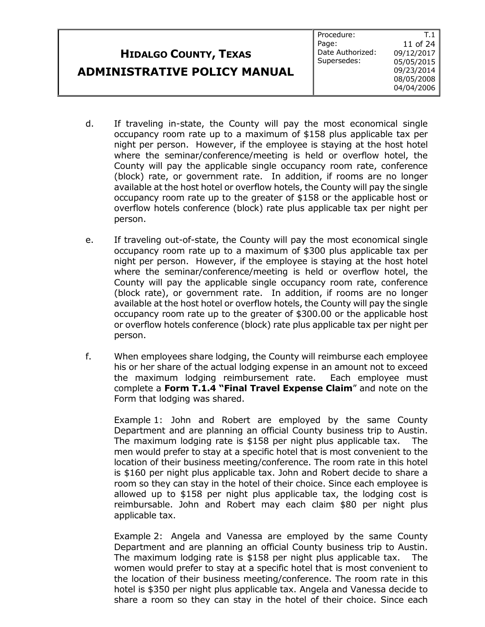|                                     | Procedure:       |            |
|-------------------------------------|------------------|------------|
|                                     | Page:            | 11 of 24   |
| <b>HIDALGO COUNTY, TEXAS</b>        | Date Authorized: | 09/12/2017 |
|                                     | Supersedes:      | 05/05/2015 |
| <b>ADMINISTRATIVE POLICY MANUAL</b> |                  | 09/23/2014 |
|                                     |                  | 08/05/2008 |
|                                     |                  | 04/04/2006 |

- d. If traveling in-state, the County will pay the most economical single occupancy room rate up to a maximum of \$158 plus applicable tax per night per person. However, if the employee is staying at the host hotel where the seminar/conference/meeting is held or overflow hotel, the County will pay the applicable single occupancy room rate, conference (block) rate, or government rate. In addition, if rooms are no longer available at the host hotel or overflow hotels, the County will pay the single occupancy room rate up to the greater of \$158 or the applicable host or overflow hotels conference (block) rate plus applicable tax per night per person.
- e. If traveling out-of-state, the County will pay the most economical single occupancy room rate up to a maximum of \$300 plus applicable tax per night per person. However, if the employee is staying at the host hotel where the seminar/conference/meeting is held or overflow hotel, the County will pay the applicable single occupancy room rate, conference (block rate), or government rate. In addition, if rooms are no longer available at the host hotel or overflow hotels, the County will pay the single occupancy room rate up to the greater of \$300.00 or the applicable host or overflow hotels conference (block) rate plus applicable tax per night per person.
- f. When employees share lodging, the County will reimburse each employee his or her share of the actual lodging expense in an amount not to exceed the maximum lodging reimbursement rate. Each employee must complete a **Form T.1.4 "Final Travel Expense Claim**" and note on the Form that lodging was shared.

Example 1: John and Robert are employed by the same County Department and are planning an official County business trip to Austin. The maximum lodging rate is \$158 per night plus applicable tax. The men would prefer to stay at a specific hotel that is most convenient to the location of their business meeting/conference. The room rate in this hotel is \$160 per night plus applicable tax. John and Robert decide to share a room so they can stay in the hotel of their choice. Since each employee is allowed up to \$158 per night plus applicable tax, the lodging cost is reimbursable. John and Robert may each claim \$80 per night plus applicable tax.

Example 2: Angela and Vanessa are employed by the same County Department and are planning an official County business trip to Austin. The maximum lodging rate is \$158 per night plus applicable tax. The women would prefer to stay at a specific hotel that is most convenient to the location of their business meeting/conference. The room rate in this hotel is \$350 per night plus applicable tax. Angela and Vanessa decide to share a room so they can stay in the hotel of their choice. Since each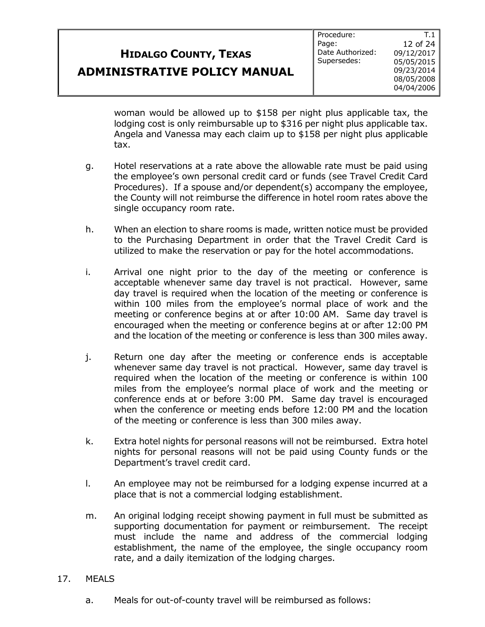**ADMINISTRATIVE POLICY MANUAL**

Procedure: Page: Date Authorized: Supersedes:

woman would be allowed up to \$158 per night plus applicable tax, the lodging cost is only reimbursable up to \$316 per night plus applicable tax. Angela and Vanessa may each claim up to \$158 per night plus applicable tax.

- g. Hotel reservations at a rate above the allowable rate must be paid using the employee's own personal credit card or funds (see Travel Credit Card Procedures). If a spouse and/or dependent(s) accompany the employee, the County will not reimburse the difference in hotel room rates above the single occupancy room rate.
- h. When an election to share rooms is made, written notice must be provided to the Purchasing Department in order that the Travel Credit Card is utilized to make the reservation or pay for the hotel accommodations.
- i. Arrival one night prior to the day of the meeting or conference is acceptable whenever same day travel is not practical. However, same day travel is required when the location of the meeting or conference is within 100 miles from the employee's normal place of work and the meeting or conference begins at or after 10:00 AM. Same day travel is encouraged when the meeting or conference begins at or after 12:00 PM and the location of the meeting or conference is less than 300 miles away.
- j. Return one day after the meeting or conference ends is acceptable whenever same day travel is not practical. However, same day travel is required when the location of the meeting or conference is within 100 miles from the employee's normal place of work and the meeting or conference ends at or before 3:00 PM. Same day travel is encouraged when the conference or meeting ends before 12:00 PM and the location of the meeting or conference is less than 300 miles away.
- k. Extra hotel nights for personal reasons will not be reimbursed. Extra hotel nights for personal reasons will not be paid using County funds or the Department's travel credit card.
- l. An employee may not be reimbursed for a lodging expense incurred at a place that is not a commercial lodging establishment.
- m. An original lodging receipt showing payment in full must be submitted as supporting documentation for payment or reimbursement. The receipt must include the name and address of the commercial lodging establishment, the name of the employee, the single occupancy room rate, and a daily itemization of the lodging charges.

#### 17. MEALS

a. Meals for out-of-county travel will be reimbursed as follows: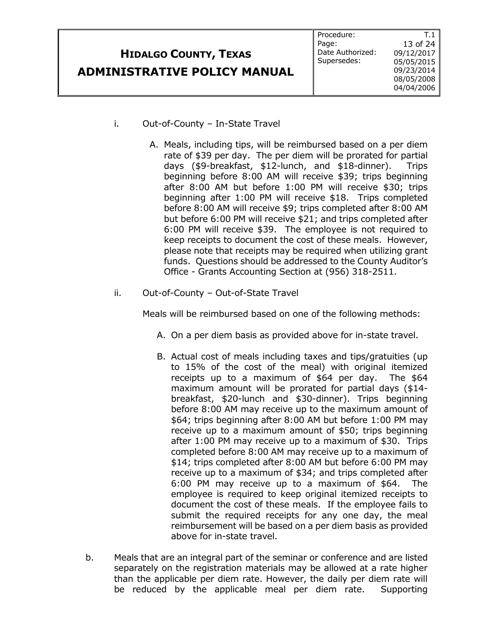|                                     | Procedure:       |                  |
|-------------------------------------|------------------|------------------|
|                                     | Page:            | 13 of 24 $\vert$ |
| <b>HIDALGO COUNTY, TEXAS</b>        | Date Authorized: | 09/12/2017       |
|                                     | Supersedes:      | 05/05/2015       |
| <b>ADMINISTRATIVE POLICY MANUAL</b> |                  | 09/23/2014       |
|                                     |                  | 08/05/2008       |
|                                     |                  | 04/04/2006       |

- i. Out-of-County In-State Travel
	- A. Meals, including tips, will be reimbursed based on a per diem rate of \$39 per day. The per diem will be prorated for partial days (\$9-breakfast, \$12-lunch, and \$18-dinner). Trips beginning before 8:00 AM will receive \$39; trips beginning after 8:00 AM but before 1:00 PM will receive \$30; trips beginning after 1:00 PM will receive \$18. Trips completed before 8:00 AM will receive \$9; trips completed after 8:00 AM but before 6:00 PM will receive \$21; and trips completed after 6:00 PM will receive \$39. The employee is not required to keep receipts to document the cost of these meals. However, please note that receipts may be required when utilizing grant funds. Questions should be addressed to the County Auditor's Office - Grants Accounting Section at (956) 318-2511.
- ii. Out-of-County Out-of-State Travel

Meals will be reimbursed based on one of the following methods:

- A. On a per diem basis as provided above for in-state travel.
- B. Actual cost of meals including taxes and tips/gratuities (up to 15% of the cost of the meal) with original itemized receipts up to a maximum of \$64 per day. The \$64 maximum amount will be prorated for partial days (\$14 breakfast, \$20-lunch and \$30-dinner). Trips beginning before 8:00 AM may receive up to the maximum amount of \$64; trips beginning after 8:00 AM but before 1:00 PM may receive up to a maximum amount of \$50; trips beginning after 1:00 PM may receive up to a maximum of \$30. Trips completed before 8:00 AM may receive up to a maximum of \$14; trips completed after 8:00 AM but before 6:00 PM may receive up to a maximum of \$34; and trips completed after 6:00 PM may receive up to a maximum of \$64. The employee is required to keep original itemized receipts to document the cost of these meals. If the employee fails to submit the required receipts for any one day, the meal reimbursement will be based on a per diem basis as provided above for in-state travel.
- b. Meals that are an integral part of the seminar or conference and are listed separately on the registration materials may be allowed at a rate higher than the applicable per diem rate. However, the daily per diem rate will be reduced by the applicable meal per diem rate. Supporting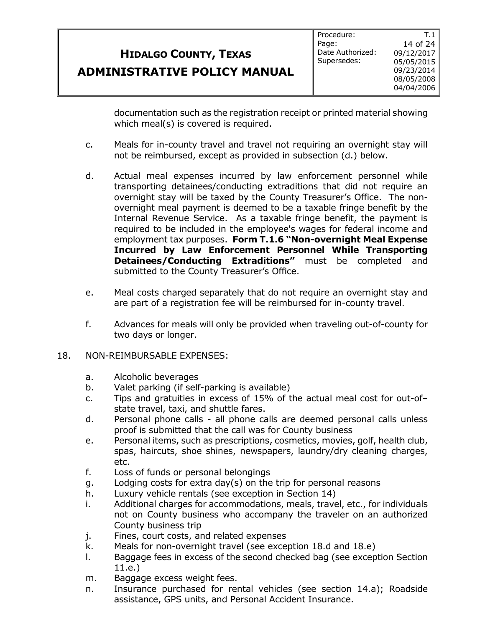**ADMINISTRATIVE POLICY MANUAL**

documentation such as the registration receipt or printed material showing which meal(s) is covered is required.

- c. Meals for in-county travel and travel not requiring an overnight stay will not be reimbursed, except as provided in subsection (d.) below.
- d. Actual meal expenses incurred by law enforcement personnel while transporting detainees/conducting extraditions that did not require an overnight stay will be taxed by the County Treasurer's Office. The nonovernight meal payment is deemed to be a taxable fringe benefit by the Internal Revenue Service. As a taxable fringe benefit, the payment is required to be included in the employee's wages for federal income and employment tax purposes. **Form T.1.6 "Non-overnight Meal Expense Incurred by Law Enforcement Personnel While Transporting Detainees/Conducting Extraditions"** must be completed and submitted to the County Treasurer's Office.
- e. Meal costs charged separately that do not require an overnight stay and are part of a registration fee will be reimbursed for in-county travel.
- f. Advances for meals will only be provided when traveling out-of-county for two days or longer.
- 18. NON-REIMBURSABLE EXPENSES:
	- a. Alcoholic beverages
	- b. Valet parking (if self-parking is available)
	- c. Tips and gratuities in excess of 15% of the actual meal cost for out-of– state travel, taxi, and shuttle fares.
	- d. Personal phone calls all phone calls are deemed personal calls unless proof is submitted that the call was for County business
	- e. Personal items, such as prescriptions, cosmetics, movies, golf, health club, spas, haircuts, shoe shines, newspapers, laundry/dry cleaning charges, etc.
	- f. Loss of funds or personal belongings
	- g. Lodging costs for extra day(s) on the trip for personal reasons
	- h. Luxury vehicle rentals (see exception in Section 14)
	- i. Additional charges for accommodations, meals, travel, etc., for individuals not on County business who accompany the traveler on an authorized County business trip
	- j. Fines, court costs, and related expenses
	- k. Meals for non-overnight travel (see exception 18.d and 18.e)
	- l. Baggage fees in excess of the second checked bag (see exception Section 11.e.)
	- m. Baggage excess weight fees.
	- n. Insurance purchased for rental vehicles (see section 14.a); Roadside assistance, GPS units, and Personal Accident Insurance.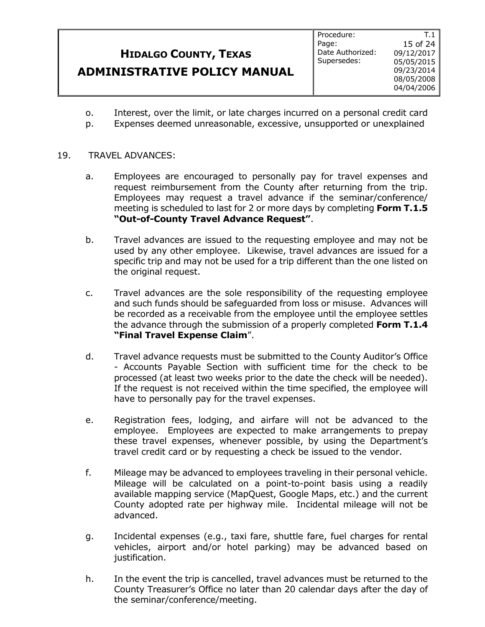**ADMINISTRATIVE POLICY MANUAL**

Procedure: Page: Date Authorized: Supersedes:

T.1 15 of 24 09/12/2017 05/05/2015 09/23/2014 08/05/2008 04/04/2006

- o. Interest, over the limit, or late charges incurred on a personal credit card
- p. Expenses deemed unreasonable, excessive, unsupported or unexplained

#### 19. TRAVEL ADVANCES:

- a. Employees are encouraged to personally pay for travel expenses and request reimbursement from the County after returning from the trip. Employees may request a travel advance if the seminar/conference/ meeting is scheduled to last for 2 or more days by completing **Form T.1.5 "Out-of-County Travel Advance Request"**.
- b. Travel advances are issued to the requesting employee and may not be used by any other employee. Likewise, travel advances are issued for a specific trip and may not be used for a trip different than the one listed on the original request.
- c. Travel advances are the sole responsibility of the requesting employee and such funds should be safeguarded from loss or misuse. Advances will be recorded as a receivable from the employee until the employee settles the advance through the submission of a properly completed **Form T.1.4 "Final Travel Expense Claim**".
- d. Travel advance requests must be submitted to the County Auditor's Office - Accounts Payable Section with sufficient time for the check to be processed (at least two weeks prior to the date the check will be needed). If the request is not received within the time specified, the employee will have to personally pay for the travel expenses.
- e. Registration fees, lodging, and airfare will not be advanced to the employee. Employees are expected to make arrangements to prepay these travel expenses, whenever possible, by using the Department's travel credit card or by requesting a check be issued to the vendor.
- f. Mileage may be advanced to employees traveling in their personal vehicle. Mileage will be calculated on a point-to-point basis using a readily available mapping service (MapQuest, Google Maps, etc.) and the current County adopted rate per highway mile. Incidental mileage will not be advanced.
- g. Incidental expenses (e.g., taxi fare, shuttle fare, fuel charges for rental vehicles, airport and/or hotel parking) may be advanced based on justification.
- h. In the event the trip is cancelled, travel advances must be returned to the County Treasurer's Office no later than 20 calendar days after the day of the seminar/conference/meeting.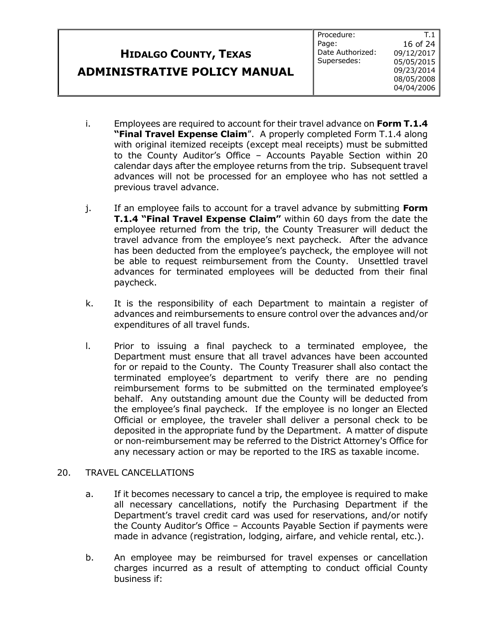Procedure: Page: Date Authorized: Supersedes:

T.1 16 of 24 09/12/2017 05/05/2015 09/23/2014 08/05/2008 04/04/2006

- i. Employees are required to account for their travel advance on **Form T.1.4 "Final Travel Expense Claim**". A properly completed Form T.1.4 along with original itemized receipts (except meal receipts) must be submitted to the County Auditor's Office – Accounts Payable Section within 20 calendar days after the employee returns from the trip. Subsequent travel advances will not be processed for an employee who has not settled a previous travel advance.
- j. If an employee fails to account for a travel advance by submitting **Form T.1.4 "Final Travel Expense Claim"** within 60 days from the date the employee returned from the trip, the County Treasurer will deduct the travel advance from the employee's next paycheck. After the advance has been deducted from the employee's paycheck, the employee will not be able to request reimbursement from the County. Unsettled travel advances for terminated employees will be deducted from their final paycheck.
- k. It is the responsibility of each Department to maintain a register of advances and reimbursements to ensure control over the advances and/or expenditures of all travel funds.
- l. Prior to issuing a final paycheck to a terminated employee, the Department must ensure that all travel advances have been accounted for or repaid to the County. The County Treasurer shall also contact the terminated employee's department to verify there are no pending reimbursement forms to be submitted on the terminated employee's behalf. Any outstanding amount due the County will be deducted from the employee's final paycheck. If the employee is no longer an Elected Official or employee, the traveler shall deliver a personal check to be deposited in the appropriate fund by the Department. A matter of dispute or non-reimbursement may be referred to the District Attorney's Office for any necessary action or may be reported to the IRS as taxable income.

#### 20. TRAVEL CANCELLATIONS

- a. If it becomes necessary to cancel a trip, the employee is required to make all necessary cancellations, notify the Purchasing Department if the Department's travel credit card was used for reservations, and/or notify the County Auditor's Office – Accounts Payable Section if payments were made in advance (registration, lodging, airfare, and vehicle rental, etc.).
- b. An employee may be reimbursed for travel expenses or cancellation charges incurred as a result of attempting to conduct official County business if: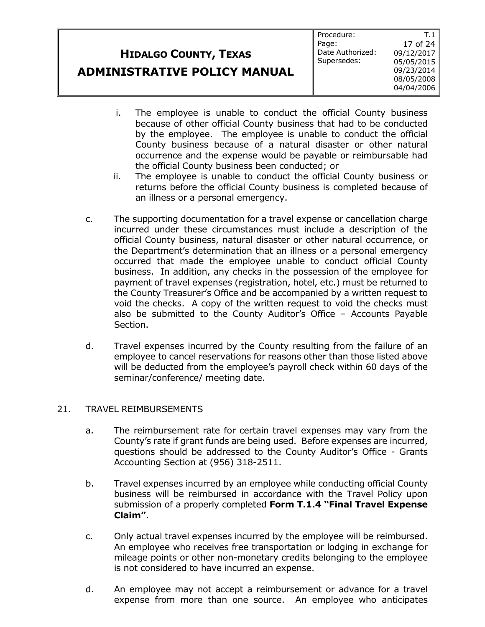| <b>HIDALGO COUNTY, TEXAS</b>        | Page:<br>Date Au<br>Supers |
|-------------------------------------|----------------------------|
| <b>ADMINISTRATIVE POLICY MANUAL</b> |                            |

- i. The employee is unable to conduct the official County business because of other official County business that had to be conducted by the employee. The employee is unable to conduct the official County business because of a natural disaster or other natural occurrence and the expense would be payable or reimbursable had the official County business been conducted; or
- ii. The employee is unable to conduct the official County business or returns before the official County business is completed because of an illness or a personal emergency.
- c. The supporting documentation for a travel expense or cancellation charge incurred under these circumstances must include a description of the official County business, natural disaster or other natural occurrence, or the Department's determination that an illness or a personal emergency occurred that made the employee unable to conduct official County business. In addition, any checks in the possession of the employee for payment of travel expenses (registration, hotel, etc.) must be returned to the County Treasurer's Office and be accompanied by a written request to void the checks. A copy of the written request to void the checks must also be submitted to the County Auditor's Office – Accounts Payable Section.
- d. Travel expenses incurred by the County resulting from the failure of an employee to cancel reservations for reasons other than those listed above will be deducted from the employee's payroll check within 60 days of the seminar/conference/ meeting date.

#### 21. TRAVEL REIMBURSEMENTS

- a. The reimbursement rate for certain travel expenses may vary from the County's rate if grant funds are being used. Before expenses are incurred, questions should be addressed to the County Auditor's Office - Grants Accounting Section at (956) 318-2511.
- b. Travel expenses incurred by an employee while conducting official County business will be reimbursed in accordance with the Travel Policy upon submission of a properly completed **Form T.1.4 "Final Travel Expense Claim"**.
- c. Only actual travel expenses incurred by the employee will be reimbursed. An employee who receives free transportation or lodging in exchange for mileage points or other non-monetary credits belonging to the employee is not considered to have incurred an expense.
- d. An employee may not accept a reimbursement or advance for a travel expense from more than one source. An employee who anticipates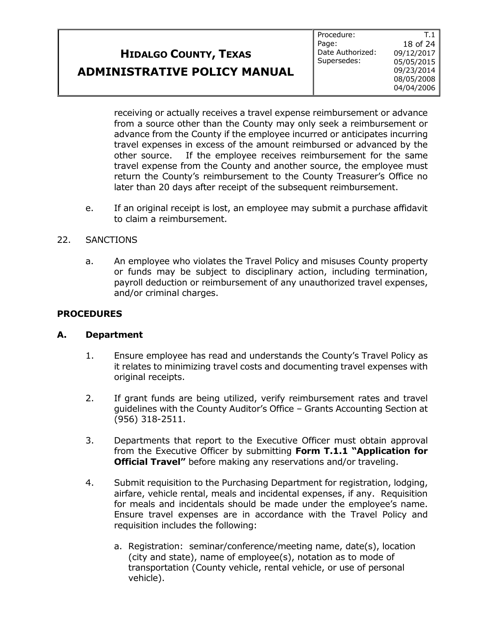T.1

receiving or actually receives a travel expense reimbursement or advance from a source other than the County may only seek a reimbursement or advance from the County if the employee incurred or anticipates incurring travel expenses in excess of the amount reimbursed or advanced by the other source. If the employee receives reimbursement for the same travel expense from the County and another source, the employee must return the County's reimbursement to the County Treasurer's Office no later than 20 days after receipt of the subsequent reimbursement.

e. If an original receipt is lost, an employee may submit a purchase affidavit to claim a reimbursement.

#### 22. SANCTIONS

a. An employee who violates the Travel Policy and misuses County property or funds may be subject to disciplinary action, including termination, payroll deduction or reimbursement of any unauthorized travel expenses, and/or criminal charges.

#### **PROCEDURES**

#### **A. Department**

- 1. Ensure employee has read and understands the County's Travel Policy as it relates to minimizing travel costs and documenting travel expenses with original receipts.
- 2. If grant funds are being utilized, verify reimbursement rates and travel guidelines with the County Auditor's Office – Grants Accounting Section at (956) 318-2511.
- 3. Departments that report to the Executive Officer must obtain approval from the Executive Officer by submitting **Form T.1.1 "Application for Official Travel"** before making any reservations and/or traveling.
- 4. Submit requisition to the Purchasing Department for registration, lodging, airfare, vehicle rental, meals and incidental expenses, if any. Requisition for meals and incidentals should be made under the employee's name. Ensure travel expenses are in accordance with the Travel Policy and requisition includes the following:
	- a. Registration: seminar/conference/meeting name, date(s), location (city and state), name of employee(s), notation as to mode of transportation (County vehicle, rental vehicle, or use of personal vehicle).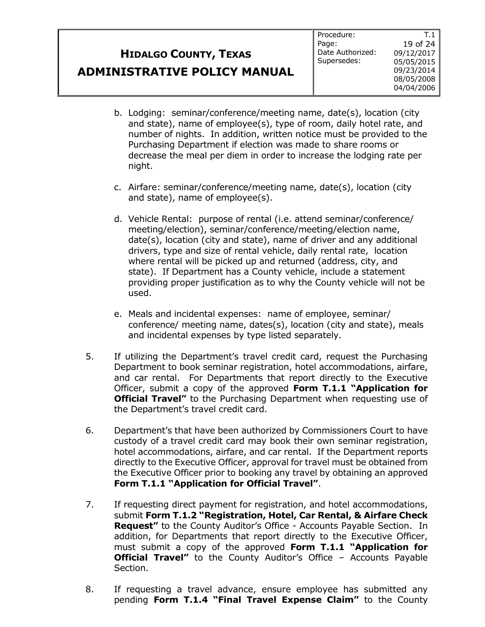T.1

- b. Lodging: seminar/conference/meeting name, date(s), location (city and state), name of employee(s), type of room, daily hotel rate, and number of nights. In addition, written notice must be provided to the Purchasing Department if election was made to share rooms or decrease the meal per diem in order to increase the lodging rate per night.
- c. Airfare: seminar/conference/meeting name, date(s), location (city and state), name of employee(s).
- d. Vehicle Rental: purpose of rental (i.e. attend seminar/conference/ meeting/election), seminar/conference/meeting/election name, date(s), location (city and state), name of driver and any additional drivers, type and size of rental vehicle, daily rental rate, location where rental will be picked up and returned (address, city, and state). If Department has a County vehicle, include a statement providing proper justification as to why the County vehicle will not be used.
- e. Meals and incidental expenses: name of employee, seminar/ conference/ meeting name, dates(s), location (city and state), meals and incidental expenses by type listed separately.
- 5. If utilizing the Department's travel credit card, request the Purchasing Department to book seminar registration, hotel accommodations, airfare, and car rental. For Departments that report directly to the Executive Officer, submit a copy of the approved **Form T.1.1 "Application for Official Travel"** to the Purchasing Department when requesting use of the Department's travel credit card.
- 6. Department's that have been authorized by Commissioners Court to have custody of a travel credit card may book their own seminar registration, hotel accommodations, airfare, and car rental. If the Department reports directly to the Executive Officer, approval for travel must be obtained from the Executive Officer prior to booking any travel by obtaining an approved **Form T.1.1 "Application for Official Travel"**.
- 7. If requesting direct payment for registration, and hotel accommodations, submit **Form T.1.2 "Registration, Hotel, Car Rental, & Airfare Check Request"** to the County Auditor's Office - Accounts Payable Section. In addition, for Departments that report directly to the Executive Officer, must submit a copy of the approved **Form T.1.1 "Application for Official Travel"** to the County Auditor's Office - Accounts Payable Section.
- 8. If requesting a travel advance, ensure employee has submitted any pending **Form T.1.4 "Final Travel Expense Claim"** to the County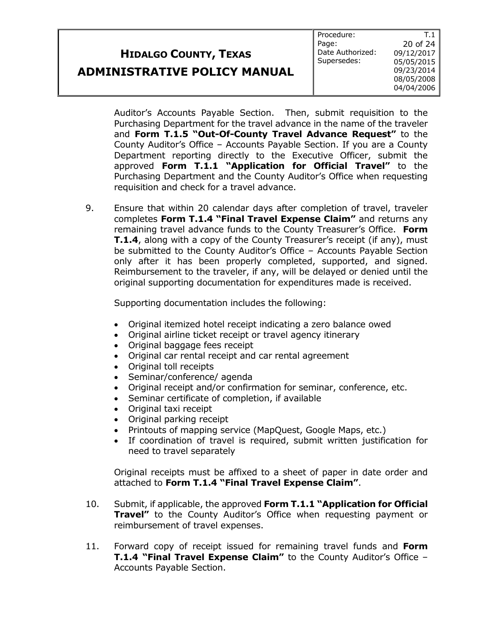**ADMINISTRATIVE POLICY MANUAL**

Procedure: Page: Date Authorized: Supersedes:

T.1 20 of 24 09/12/2017 05/05/2015 09/23/2014 08/05/2008 04/04/2006

Auditor's Accounts Payable Section. Then, submit requisition to the Purchasing Department for the travel advance in the name of the traveler and **Form T.1.5 "Out-Of-County Travel Advance Request"** to the County Auditor's Office – Accounts Payable Section. If you are a County Department reporting directly to the Executive Officer, submit the approved **Form T.1.1 "Application for Official Travel"** to the Purchasing Department and the County Auditor's Office when requesting requisition and check for a travel advance.

9. Ensure that within 20 calendar days after completion of travel, traveler completes **Form T.1.4 "Final Travel Expense Claim"** and returns any remaining travel advance funds to the County Treasurer's Office. **Form T.1.4**, along with a copy of the County Treasurer's receipt (if any), must be submitted to the County Auditor's Office – Accounts Payable Section only after it has been properly completed, supported, and signed. Reimbursement to the traveler, if any, will be delayed or denied until the original supporting documentation for expenditures made is received.

Supporting documentation includes the following:

- Original itemized hotel receipt indicating a zero balance owed
- Original airline ticket receipt or travel agency itinerary
- Original baggage fees receipt
- Original car rental receipt and car rental agreement
- Original toll receipts
- Seminar/conference/ agenda
- Original receipt and/or confirmation for seminar, conference, etc.
- Seminar certificate of completion, if available
- Original taxi receipt
- Original parking receipt
- Printouts of mapping service (MapQuest, Google Maps, etc.)
- If coordination of travel is required, submit written justification for need to travel separately

Original receipts must be affixed to a sheet of paper in date order and attached to **Form T.1.4 "Final Travel Expense Claim"**.

- 10. Submit, if applicable, the approved **Form T.1.1 "Application for Official Travel"** to the County Auditor's Office when requesting payment or reimbursement of travel expenses.
- 11. Forward copy of receipt issued for remaining travel funds and **Form T.1.4 "Final Travel Expense Claim"** to the County Auditor's Office – Accounts Payable Section.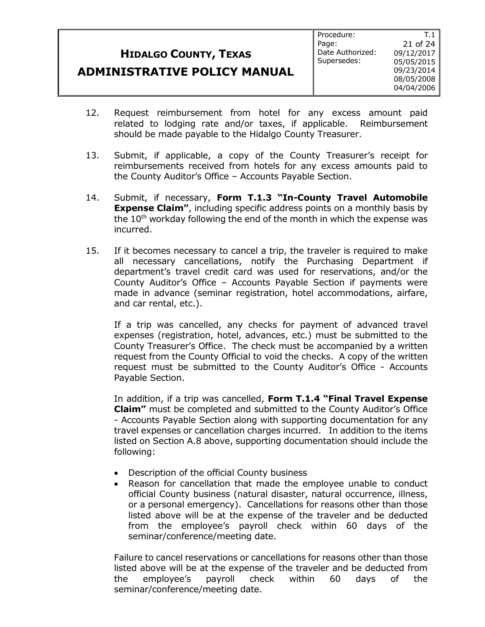### **ADMINISTRATIVE POLICY MANUAL**

T.1

- 12. Request reimbursement from hotel for any excess amount paid related to lodging rate and/or taxes, if applicable. Reimbursement should be made payable to the Hidalgo County Treasurer.
- 13. Submit, if applicable, a copy of the County Treasurer's receipt for reimbursements received from hotels for any excess amounts paid to the County Auditor's Office – Accounts Payable Section.
- 14. Submit, if necessary, **Form T.1.3 "In-County Travel Automobile Expense Claim"**, including specific address points on a monthly basis by the  $10<sup>th</sup>$  workday following the end of the month in which the expense was incurred.
- 15. If it becomes necessary to cancel a trip, the traveler is required to make all necessary cancellations, notify the Purchasing Department if department's travel credit card was used for reservations, and/or the County Auditor's Office – Accounts Payable Section if payments were made in advance (seminar registration, hotel accommodations, airfare, and car rental, etc.).

If a trip was cancelled, any checks for payment of advanced travel expenses (registration, hotel, advances, etc.) must be submitted to the County Treasurer's Office. The check must be accompanied by a written request from the County Official to void the checks. A copy of the written request must be submitted to the County Auditor's Office - Accounts Payable Section.

In addition, if a trip was cancelled, **Form T.1.4 "Final Travel Expense Claim"** must be completed and submitted to the County Auditor's Office - Accounts Payable Section along with supporting documentation for any travel expenses or cancellation charges incurred. In addition to the items listed on Section A.8 above, supporting documentation should include the following:

- Description of the official County business
- Reason for cancellation that made the employee unable to conduct official County business (natural disaster, natural occurrence, illness, or a personal emergency). Cancellations for reasons other than those listed above will be at the expense of the traveler and be deducted from the employee's payroll check within 60 days of the seminar/conference/meeting date.

Failure to cancel reservations or cancellations for reasons other than those listed above will be at the expense of the traveler and be deducted from the employee's payroll check within 60 days of the seminar/conference/meeting date.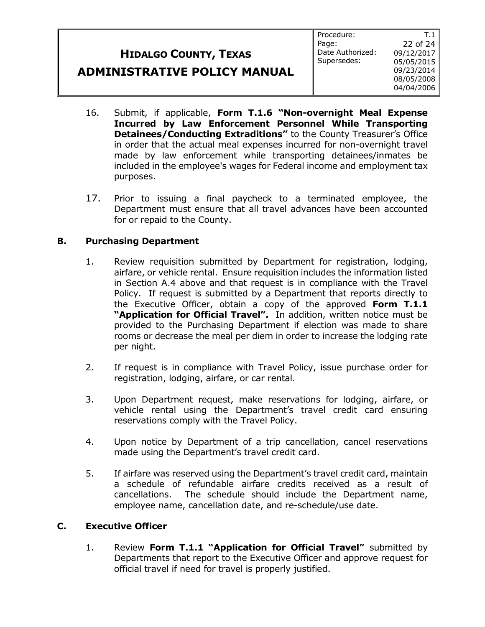### **ADMINISTRATIVE POLICY MANUAL**

Procedure: Page: Date Authorized: Supersedes: 22 of 24 09/12/2017 05/05/2015 09/23/2014 08/05/2008 04/04/2006

T.1

16. Submit, if applicable, **Form T.1.6 "Non-overnight Meal Expense Incurred by Law Enforcement Personnel While Transporting Detainees/Conducting Extraditions"** to the County Treasurer's Office in order that the actual meal expenses incurred for non-overnight travel made by law enforcement while transporting detainees/inmates be included in the employee's wages for Federal income and employment tax purposes.

17. Prior to issuing a final paycheck to a terminated employee, the Department must ensure that all travel advances have been accounted for or repaid to the County.

### **B. Purchasing Department**

- 1. Review requisition submitted by Department for registration, lodging, airfare, or vehicle rental. Ensure requisition includes the information listed in Section A.4 above and that request is in compliance with the Travel Policy. If request is submitted by a Department that reports directly to the Executive Officer, obtain a copy of the approved **Form T.1.1 "Application for Official Travel".** In addition, written notice must be provided to the Purchasing Department if election was made to share rooms or decrease the meal per diem in order to increase the lodging rate per night.
- 2. If request is in compliance with Travel Policy, issue purchase order for registration, lodging, airfare, or car rental.
- 3. Upon Department request, make reservations for lodging, airfare, or vehicle rental using the Department's travel credit card ensuring reservations comply with the Travel Policy.
- 4. Upon notice by Department of a trip cancellation, cancel reservations made using the Department's travel credit card.
- 5. If airfare was reserved using the Department's travel credit card, maintain a schedule of refundable airfare credits received as a result of cancellations. The schedule should include the Department name, employee name, cancellation date, and re-schedule/use date.

#### **C. Executive Officer**

1. Review **Form T.1.1 "Application for Official Travel"** submitted by Departments that report to the Executive Officer and approve request for official travel if need for travel is properly justified.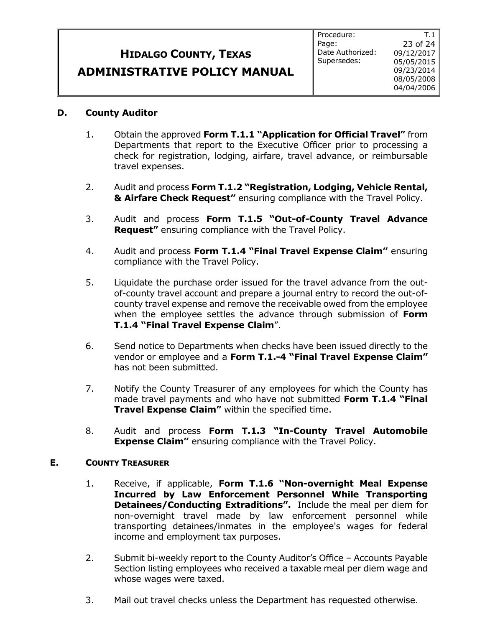### **ADMINISTRATIVE POLICY MANUAL**

#### **D. County Auditor**

- 1. Obtain the approved **Form T.1.1 "Application for Official Travel"** from Departments that report to the Executive Officer prior to processing a check for registration, lodging, airfare, travel advance, or reimbursable travel expenses.
- 2. Audit and process **Form T.1.2 "Registration, Lodging, Vehicle Rental, & Airfare Check Request"** ensuring compliance with the Travel Policy.
- 3. Audit and process **Form T.1.5 "Out-of-County Travel Advance Request"** ensuring compliance with the Travel Policy.
- 4. Audit and process **Form T.1.4 "Final Travel Expense Claim"** ensuring compliance with the Travel Policy.
- 5. Liquidate the purchase order issued for the travel advance from the outof-county travel account and prepare a journal entry to record the out-ofcounty travel expense and remove the receivable owed from the employee when the employee settles the advance through submission of **Form T.1.4 "Final Travel Expense Claim**".
- 6. Send notice to Departments when checks have been issued directly to the vendor or employee and a **Form T.1.-4 "Final Travel Expense Claim"**  has not been submitted.
- 7. Notify the County Treasurer of any employees for which the County has made travel payments and who have not submitted **Form T.1.4 "Final Travel Expense Claim"** within the specified time.
- 8. Audit and process **Form T.1.3 "In-County Travel Automobile Expense Claim"** ensuring compliance with the Travel Policy.

#### **E. COUNTY TREASURER**

- 1. Receive, if applicable, **Form T.1.6 "Non-overnight Meal Expense Incurred by Law Enforcement Personnel While Transporting Detainees/Conducting Extraditions".** Include the meal per diem for non-overnight travel made by law enforcement personnel while transporting detainees/inmates in the employee's wages for federal income and employment tax purposes.
- 2. Submit bi-weekly report to the County Auditor's Office Accounts Payable Section listing employees who received a taxable meal per diem wage and whose wages were taxed.
- 3. Mail out travel checks unless the Department has requested otherwise.